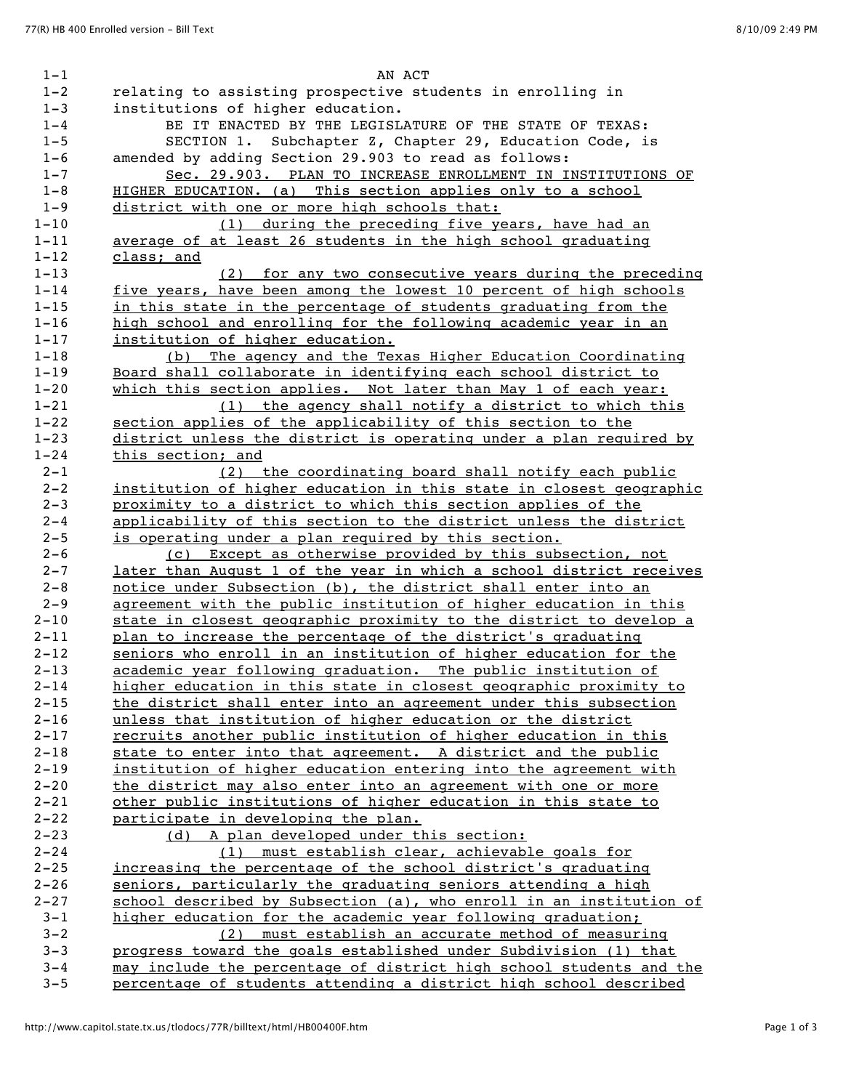| $1 - 1$            | AN ACT                                                                                                                                   |
|--------------------|------------------------------------------------------------------------------------------------------------------------------------------|
| $1 - 2$            | relating to assisting prospective students in enrolling in                                                                               |
| $1 - 3$            | institutions of higher education.                                                                                                        |
| $1 - 4$            | BE IT ENACTED BY THE LEGISLATURE OF THE STATE OF TEXAS:                                                                                  |
| $1 - 5$            | SECTION 1. Subchapter Z, Chapter 29, Education Code, is                                                                                  |
| $1 - 6$            | amended by adding Section 29.903 to read as follows:                                                                                     |
| $1 - 7$            | Sec. 29.903. PLAN TO INCREASE ENROLLMENT IN INSTITUTIONS OF                                                                              |
| $1 - 8$            | HIGHER EDUCATION. (a) This section applies only to a school                                                                              |
| $1 - 9$            | district with one or more high schools that:                                                                                             |
| $1 - 10$           | (1) during the preceding five years, have had an                                                                                         |
| $1 - 11$           | average of at least 26 students in the high school graduating                                                                            |
| $1 - 12$           | class: and                                                                                                                               |
| $1 - 13$           | (2) for any two consecutive years during the preceding                                                                                   |
| $1 - 14$           | five years, have been among the lowest 10 percent of high schools                                                                        |
| $1 - 15$           | in this state in the percentage of students graduating from the                                                                          |
| $1 - 16$           | high school and enrolling for the following academic year in an                                                                          |
| $1 - 17$           | institution of higher education.                                                                                                         |
| $1 - 18$           | (b) The agency and the Texas Higher Education Coordinating                                                                               |
| $1 - 19$           | Board shall collaborate in identifying each school district to                                                                           |
| $1 - 20$           | which this section applies. Not later than May 1 of each year:                                                                           |
| $1 - 21$           | (1) the agency shall notify a district to which this                                                                                     |
| $1 - 22$           | section applies of the applicability of this section to the                                                                              |
| $1 - 23$           | district unless the district is operating under a plan required by                                                                       |
| $1 - 24$           | this section; and                                                                                                                        |
| $2 - 1$            | (2) the coordinating board shall notify each public                                                                                      |
| $2 - 2$            | institution of higher education in this state in closest geographic                                                                      |
| $2 - 3$            | proximity to a district to which this section applies of the                                                                             |
| $2 - 4$            | applicability of this section to the district unless the district                                                                        |
| $2 - 5$            | is operating under a plan required by this section.                                                                                      |
| $2 - 6$<br>$2 - 7$ | (c) Except as otherwise provided by this subsection, not                                                                                 |
| $2 - 8$            | later than August 1 of the year in which a school district receives                                                                      |
| $2 - 9$            | notice under Subsection (b), the district shall enter into an<br>agreement with the public institution of higher education in this       |
| $2 - 10$           | state in closest geographic proximity to the district to develop a                                                                       |
| $2 - 11$           | plan to increase the percentage of the district's graduating                                                                             |
| $2 - 12$           | seniors who enroll in an institution of higher education for the                                                                         |
| $2 - 13$           | academic year following graduation. The public institution of                                                                            |
| $2 - 14$           | higher education in this state in closest geographic proximity to                                                                        |
| $2 - 15$           | the district shall enter into an agreement under this subsection                                                                         |
| $2 - 16$           | unless that institution of higher education or the district                                                                              |
| $2 - 17$           | recruits another public institution of higher education in this                                                                          |
| $2 - 18$           | state to enter into that agreement. A district and the public                                                                            |
| $2 - 19$           | institution of higher education entering into the agreement with                                                                         |
| $2 - 20$           | the district may also enter into an agreement with one or more                                                                           |
| $2 - 21$           | other public institutions of higher education in this state to                                                                           |
| $2 - 22$           | participate in developing the plan.                                                                                                      |
| $2 - 23$           | (d) A plan developed under this section:                                                                                                 |
| $2 - 24$           | (1) must establish clear, achievable goals for                                                                                           |
| $2 - 25$           | increasing the percentage of the school district's graduating                                                                            |
| $2 - 26$           | seniors, particularly the graduating seniors attending a high                                                                            |
| $2 - 27$           |                                                                                                                                          |
| $3 - 1$            | school described by Subsection (a), who enroll in an institution of                                                                      |
|                    | higher education for the academic year following graduation:                                                                             |
| $3 - 2$            | (2) must establish an accurate method of measuring                                                                                       |
| $3 - 3$            | progress toward the goals established under Subdivision (1) that                                                                         |
| $3 - 4$<br>$3 - 5$ | may include the percentage of district high school students and the<br>percentage of students attending a district high school described |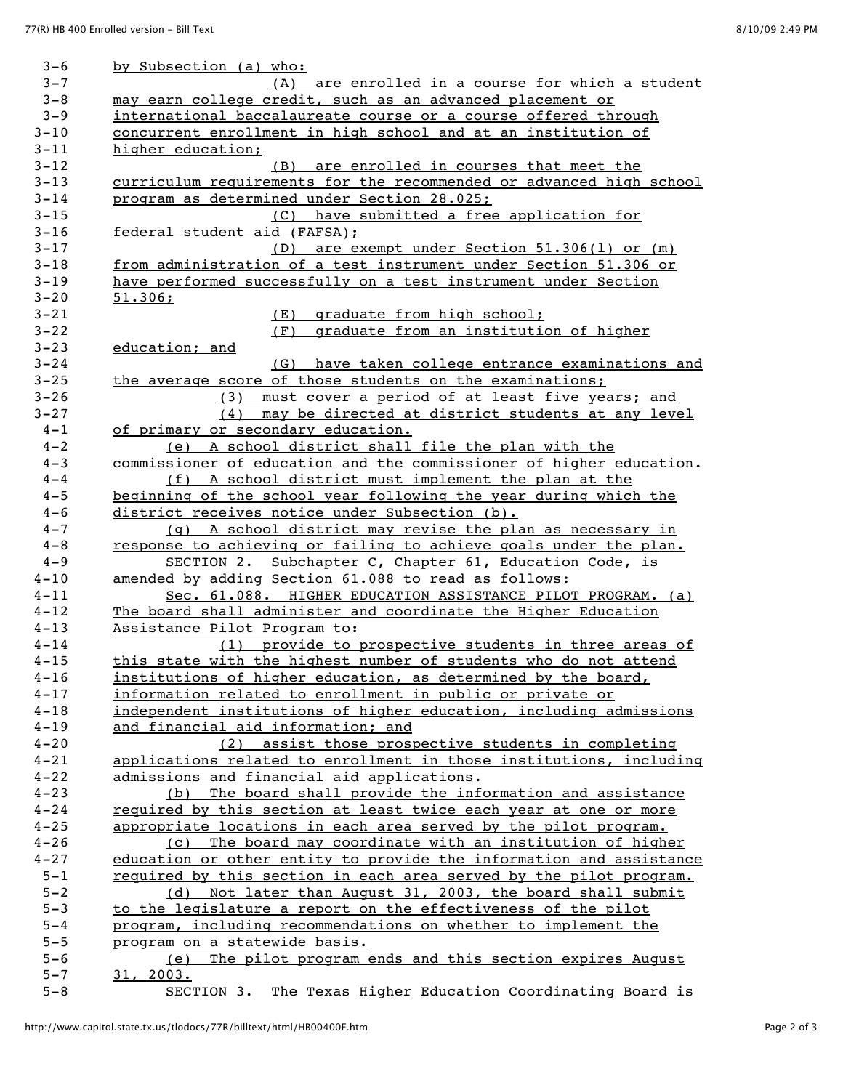| $3 - 6$             | by Subsection (a) who:                                                                                          |
|---------------------|-----------------------------------------------------------------------------------------------------------------|
| $3 - 7$             | (A) are enrolled in a course for which a student                                                                |
| $3 - 8$             | may earn college credit, such as an advanced placement or                                                       |
| $3 - 9$             | international baccalaureate course or a course offered through                                                  |
| $3 - 10$            | concurrent enrollment in high school and at an institution of                                                   |
| $3 - 11$            | higher education;                                                                                               |
| $3 - 12$            | (B) are enrolled in courses that meet the                                                                       |
| $3 - 13$            | curriculum requirements for the recommended or advanced high school                                             |
| $3 - 14$            | program as determined under Section 28.025;                                                                     |
| $3 - 15$            | (C) have submitted a free application for                                                                       |
| $3 - 16$            | federal student aid (FAFSA):                                                                                    |
| $3 - 17$            | (D) are exempt under Section 51.306(1) or (m)                                                                   |
| $3 - 18$            | from administration of a test instrument under Section 51.306 or                                                |
| $3 - 19$            | have performed successfully on a test instrument under Section                                                  |
| $3 - 20$            | 51.306:                                                                                                         |
| $3 - 21$            | (E)<br>graduate from high school:                                                                               |
| $3 - 22$            | graduate from an institution of higher<br>(F)                                                                   |
| $3 - 23$            | education: and                                                                                                  |
| $3 - 24$            | (G) have taken college entrance examinations and                                                                |
| $3 - 25$            | the average score of those students on the examinations:                                                        |
| $3 - 26$            | must cover a period of at least five years; and<br>(3)                                                          |
| $3 - 27$            | may be directed at district students at any level<br>(4)                                                        |
| $4 - 1$             | of primary or secondary education.                                                                              |
| $4 - 2$             | (e) A school district shall file the plan with the                                                              |
| $4 - 3$             | commissioner of education and the commissioner of higher education.                                             |
| $4 - 4$             | (f) A school district must implement the plan at the                                                            |
| $4 - 5$             | beginning of the school year following the year during which the                                                |
| $4 - 6$             | district receives notice under Subsection (b).                                                                  |
| $4 - 7$             | (q) A school district may revise the plan as necessary in                                                       |
| $4 - 8$             | response to achieving or failing to achieve goals under the plan.                                               |
| $4 - 9$<br>$4 - 10$ | SECTION 2. Subchapter C, Chapter 61, Education Code, is<br>amended by adding Section 61.088 to read as follows: |
| $4 - 11$            | Sec. 61.088. HIGHER EDUCATION ASSISTANCE PILOT PROGRAM. (a)                                                     |
| $4 - 12$            | The board shall administer and coordinate the Higher Education                                                  |
| $4 - 13$            | Assistance Pilot Program to:                                                                                    |
| $4 - 14$            | (1) provide to prospective students in three areas of                                                           |
| $4 - 15$            | this state with the highest number of students who do not attend                                                |
| $4 - 16$            | institutions of higher education, as determined by the board,                                                   |
| $4 - 17$            | information related to enrollment in public or private or                                                       |
| $4 - 18$            | independent institutions of higher education, including admissions                                              |
| $4 - 19$            | and financial aid information; and                                                                              |
| $4 - 20$            | (2) assist those prospective students in completing                                                             |
| $4 - 21$            | applications related to enrollment in those institutions, including                                             |
| $4 - 22$            | admissions and financial aid applications.                                                                      |
| $4 - 23$            | (b) The board shall provide the information and assistance                                                      |
| $4 - 24$            | required by this section at least twice each year at one or more                                                |
| $4 - 25$            | appropriate locations in each area served by the pilot program.                                                 |
| $4 - 26$            | (c) The board may coordinate with an institution of higher                                                      |
| $4 - 27$            | education or other entity to provide the information and assistance                                             |
| $5 - 1$             | required by this section in each area served by the pilot program.                                              |
| $5 - 2$             | (d) Not later than August 31, 2003, the board shall submit                                                      |
| $5 - 3$             | to the legislature a report on the effectiveness of the pilot                                                   |
| $5 - 4$             | program, including recommendations on whether to implement the                                                  |
| $5 - 5$             | <u>program on a statewide basis.</u>                                                                            |
| $5 - 6$             | The pilot program ends and this section expires August<br>(e)                                                   |
| $5 - 7$             | 31, 2003.                                                                                                       |
| $5 - 8$             | The Texas Higher Education Coordinating Board is<br>SECTION 3.                                                  |